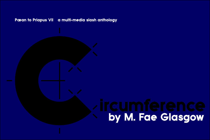# Pæan to Priapus VII a multi-media slash anthology

# Pee on to Pitapus VII a multi-media stash anthology<br>
Contact Contact Contact Contact Contact Contact Contact Contact Contact Contact Contact Contact Contact Contact Contact Contact Contact Contact Contact Contact Contact C by M. Fae Glasgow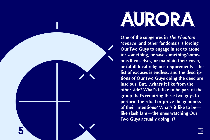



**One of the subgenres in** *The Phantom Menace* **(and other fandoms!) is forcing Our Two Guys to engage in sex to atone for something, or save something/someone/themselves, or maintain their cover, or fulfill local religious requirements—the list of excuses is endless, and the descriptions of Our Two Guys doing the deed are luscious. But…what's it like from the other side? What's it like to be part of the group that's requiring these two guys to perform the ritual or prove the goodness of their intentions? What's it like to be like slash fans—the ones watching Our Two Guys actually doing it?**

 $\circledcirc$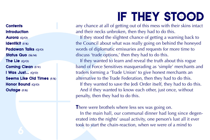# <span id="page-2-0"></span>**Contents**<br> **Contents**<br> **Contents**<br> **Contentist**<br> **Contentist**<br> **Contentist**<br> **Contentist**<br> **CONTANY CONTEX CONTEX CONTEX CONTEX CONTEX CONTEX CONTEX CONTEX CONTEX CONTEX CONTEX CONTEX CONTEX CONTEX CONTEX CONTEX CONTEX C Contents Introduction** Aurora **(Q/O)** Identikit **(F/K)** Padawan Talks **(Q/O)** Status Quo **(Sk/M)** The Lie **(Q/O)** Coming Clean **(F/V)** I Was Just… **(Q/O)** Seems Like Old Times **(F/K)** Honor Bound **(Q/O)** Outage **(F/K)**

# IF THEY STOOD

any chance at all of getting out of this mess with their skins intact and their necks unbroken, then they had to do this.

If they stood the slightest chance of getting a warning back to the Council about what was really going on behind the honeyed words of diplomatic emissaries and requests for more time to discuss 'trade options,' then they had to do this.

If they wanted to learn and reveal the truth about this rogue band of Force Sensitives masquerading as 'simple' merchants and traders forming a 'Trade Union' to give honest merchants an alternative to the Trade Federation, then they had to do this. If they wanted to save the Jedi Order itself, they had to do this. And if they wanted to know each other, just once, without penalty, then they had to do this.

# There were brothels where less sex was going on.

In the main hall, our communal dinner had long since degenerated into the nights' usual activity, one person's lust all it ever took to start the chain-reaction, when we were of a mind to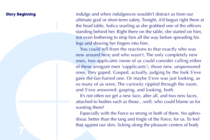**Story Beginning** indulge and when indulgences wouldn't distract us from our ultimate goal or short-term safety. Tonight, it'd begun right there at the head table, Sofica snarling as she grabbed one of the officers standing behind her. Right there on the table, she started on him, not even bothering to strip him all the way before spreading his legs and shoving her fingers into him.

**Story Beginning**<br>
indulge and when<br>
ultimate goal or st<br>
the head table, So<br>
standing behind h<br>
not even bothering<br>
legs and showing legs<br>
You could tell f<br>
new around here<br>
ones, two applice<br>
of these arrogant<br>
ones, the You could tell from the reactions to that exactly who was new around here and who wasn't. The only completely new ones, two applicants (none of us could consider calling either of these arrogant men 'supplicants'), those new, unsponsored ones, they gaped. Gasped, actually, judging by the look S'eve gave the fair-haired one. Or maybe S'eve was just looking, as so many of us were. The curiosity rippled through the room, and S'eve answered: gasping, and looking, both.

It's not often we get a new face, after all, and two new faces, attached to bodies such as those…well, who could blame us for wanting them?

Especially with the Force so strong in both of them. No aphrodisiac better than the tang and tingle of the Force, for us. To feel that against our skin, licking along the pleasure centers of body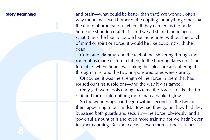**Story Beginning**<br>
and brain—what computed why mundanes even the chore of process of the chore of process Someone shudder<br>
what it must be like<br>
of mind or spirit of<br>
dead.<br> [C](#page-2-0)old, and clamm<br>
room of us made top table, wher **Story Beginning** and brain—what could be better than that? We wonder, often, why mundanes even bother with coupling for anything other than the chore of procreation, when all they can feel is the body. Someone shuddered at that—and we all shared the image of what it must be like to couple like mundanes, without the touch of mind or spirit or Force: it would be like coupling with the dead.

Cold, and clammy, and the feel of that shivering through the room of us made us turn, chilled, to the burning flares up at the top table, where Sofica was taking her pleasure and filtering it through to us, and the two unsponsored ones were staring.

Of course, it was the strength of the Force in them that had roused our first suspicions—and the way it was tamed.

Only Jedi were fools enough to tame the Force, to take the fire of it and turn it into nothing more than a banked glow.

So the wonderings had begun within seconds of the two of them appearing in our midst. How had they got in, how had they bypassed both guards and security—the Force, obviously, and a powerful amount of it and even more training, for we hadn't even felt them coming. But the *why* was even more suspect. If they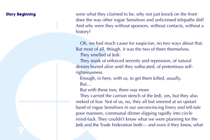**Story Beginning** were what they claimed to be, why not just knock on the front door the way other rogue Sensitives and unlicensed telepaths did? And why were they without sponsors, without contacts, without a history?

> Oh, we had much cause for suspicion, no two ways about that. But most of all, though, it was the two of them themselves. They smelled of Jedi.

They stank of enforced serenity and repression, of natural desires buried alive until they suffocated, of pretentious selfrighteousness.

Enough, in here, with us, to get them killed, usually. But…

But with these two, there was more.

**Story Beginning**<br>
were what they cl<br>
door the way othe<br>
And why were the<br>
history?<br>
Oh, we had mu<br>
But most of all, the<br>
They smelled of<br>
They stank of er<br>
desires buried aliverighteousness.<br>
Enough, in here<br>
But...<br>
But They carried the carrion stench of the Jedi, yes, but they also reeked of fear. Not of us, no, they all but sneered at an upstart band of rogue Sensitives in our unconvincing finery and tell-tale poor manners, communal dinner slipping rapidly into circle mind-fuck. They couldn't know what we were planning for the Jedi and the Trade Federation both— and even if they knew, what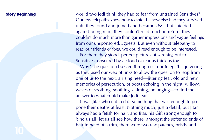**Story Beginning**<br> [C](#page-2-0)our few telepaths<br>
until they found at<br>
against being read<br>
couldn't do much<br>
from our unsponses<br>
read our friends or<br>
For there they st<br>
Sensitives, obscure<br>
Why? The quest<br>
as they used our v<br>
come th **Story Beginning** would two Jedi think they had to fear from untrained Sensitives? Our few telepaths knew how to shield—how else had they survived until they found and joined and became Us?—but shielded against being read, they couldn't read much in return: they couldn't do much more than garner impressions and vague feelings from our unsponsored…guests. But even without telepathy to read our friends or foes, we could read enough to be interested. For there they stood, perfect pictures of serenity, but to Sensitives, obscured by a cloud of fear as thick as fog.

Why? The question buzzed through us, our telepaths quivering as they used our web of links to allow the question to leap from one of us to the next, a rising need—jittering fear, old and new memories of persecution, of boots echoing in the night: willowy waves of soothing, soothing, calming, belonging—to find the answer to what could make Jedi fear.

It was Jitar who noticed it, something that was enough to postpone their deaths at least. Nothing much, just a detail, but Jitar always had a fetish for hair, and Jitar, his Gift strong enough to bind us all, let us all see how there, amongst the softened ends of hair in need of a trim, there were two raw patches, bristly and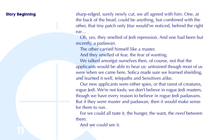**Story Beginning** sharp-edged, surely newly cut, we all agreed with him. One, at the back of the head, could be anything, but combined with the other, that tiny patch only Jitar would've noticed, behind the right ear…

> Oh, yes, they smelled of Jedi repression. And one had been but recently, a padawan.

The other carried himself like a master.

And they smelled of fear, the fear of wanting.

We talked amongst ourselves then, of course, not that the applicants would be able to hear us: untrained though most of us were when we came here, Sofica made sure we learned shielding, and learned it well, telepaths and Sensitives alike.

Story Beginning<br>the back of the heads of the heads of the heads of the heads of the heads of the heads of the heads of the contribution of the control of the control of the properties of the properties of the talked amore Our new applicants were either spies, or that rarest of creatures, rogue Jedi. We're not fools; we don't believe in rogue Jedi masters, though we have every reason to believe in rogue Jedi padawans. But if they were master and padawan, then it would make sense for them to run.

For we could all taste it, the hunger, the want, the *need* between them.

And we could see it.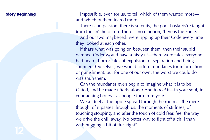**Story Beginning** Impossible, even for us, to tell which of them wanted more and which of them feared more.

> There is no passion, there is serenity, the poor bastards're taught from the crèche on up. There is no emotion, there is the Force.

> And our two maybe-Jedi were ripping up their Code every time they looked at each other.

**Story Beginning**<br>
Impossible, ever<br>
and which of then<br>
There is no pass<br>
from the crèche or<br>
And our two ma<br>
they looked at each<br>
If that's what wa<br>
damned Order work<br>
and heard, horror<br>
shunned. Ourselver<br>
or punishment, If that's what was going on between them, then their stupid damned Order would have a hissy fit—there were tales everyone had heard, horror tales of expulsion, of separation and being shunned. Ourselves, we would torture mundanes for information or punishment, but for one of our own, the worst we could do was shun them.

Can the mundanes even begin to imagine what it is to be Gifted, and be made utterly alone? And to *feel* it—in your soul, in your aching bones—as people turn from you?

We all feel at the ripple spread through the room as the mere thought of it passes through us; the moments of stillness, of touching stopping, and after the touch of cold fear, feel the way we drive the chill away. No better way to fight off a chill than with hugging a bit of fire, right?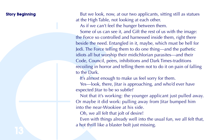**Story Beginning** But we look, now, at our two applicants, sitting still as statues at the High Table, not looking at each other.

As if we can't feel the hunger between them.

**Story Beginning**<br>
at the High Table,<br>
as if we can't fe<br>
some of us can<br>
the Force so contr<br>
beside the need. E<br>
ledi. The Force tell<br>
idiots all but wors<br> [C](#page-2-0)ode, Council, pe<br>
recoiling in horro<br>
to the Dark.<br>
It's almost Some of us can see it, and Gift the rest of us with the image: the Force so controlled and harnessed inside them, right there beside the need. Entangled in it, maybe, which must be hell for Jedi. The Force telling them to do one thing—and the pathetic idiots all but worship their midichlorian parasites—and their Code, Council, peers, inhibitions and Dark Times-traditions recoiling in horror and telling them not to do it on pain of falling to the Dark.

It's almost enough to make us feel sorry for them.

Yes—look, there, Jitar is approaching, and who'd ever have expected Jitar to be so subtle?

Not that it's working: the younger applicant just pulled away. Or maybe it did work: pulling away from Jitar bumped him into the near-Wookiee at his side.

Oh, we all felt that jolt of desire!

Even with things already well into the usual fun, we all felt that, a hot thrill like a blaster bolt just missing.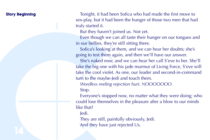**Story Beginning** Tonight, it had been Sofica who had made the first move to sex-play, but it had been the hunger of those two men that had truly started it.

But they haven't joined us. Not yet.

Even though we can all taste their hunger on our tongues and in our bellies, they're still sitting there.

Sofica's looking at them, and we can hear her doubts; she's going to test them again, and then we'll have our answer.

Story Beginning<br>
sex-play, but it had<br>
sex-play, but it had<br>
truly started it.<br>
But they haven't<br>
Even though we<br>
in our bellies, they<br>
sofica's looking<br>
going to test them<br>
She's naked now<br>
take the big one w<br>
take the bi She's naked now, and we can hear her call S'eve to her. She'll take the big one with his jade murmur of Living Force, S'eve will take the cool violet. As one, our leader and second-in-command turn to the maybe-Jedi and touch them.

*Wordless reeling rejection hurt. NOOOOOOO.*

Stop.

Everyone's stopped now, no matter what they were doing; who could lose themselves in the pleasure after a blow to our minds like that?

Jedi.

They are still, painfully obviously, Jedi. And they have just rejected Us.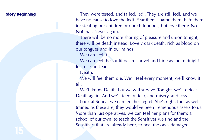**Story Beginning** They were tested, and failed. Jedi. They are still Jedi, and we have no cause to love the Jedi. Fear them, loathe them, hate them for stealing our children or our childhoods, but love them? No. Not that. Never again.

> There will be no more sharing of pleasure and union tonight; there will be death instead. Lovely dark death, rich as blood on our tongues and in our minds.

We can feel it.

We can feel the sunlit desire shrivel and hide as the midnight lust rises instead.

Death.

We will feel them die. We'll feel every moment, we'll know it all.

We'll know Death, but *we* will survive. Tonight, we'll defeat Death again. And we'll feed on fear, and misery, and loss.

**Story Beginning**<br>
They were tested<br>
have no cause to 1<br>
for stealing our ch<br>
Not that. Never ag<br>
There will be death<br>
there will be death<br>
our tongues and in<br>
We can feel the<br>
lust rises instead.<br>
Death.<br>
We will feel the Look at Sofica; we can feel her regret. She's right, too: as welltrained as these are, they would've been tremendous assets to us. More than just operatives, we can feel her plans for them: a school of our own, to teach the Sensitives we find and the Sensitives that are already here, to heal the ones damaged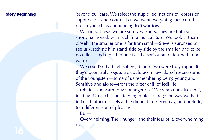**Story Beginning** beyond our care. We reject the stupid Jedi notions of repression, suppression, and control, but we want everything they could possibly teach us about being Jedi warriors.

**Story Beginning**<br>
beyond our care.<br>
suppression, and c<br>
possibly teach us a<br>
Warriors. These<br>
strong, so honed,<br>
closely; the smalle<br>
see us vatching h<br>
no taller—and the<br>
warrior.<br>
We could've ha<br>
they'd been truly r<br>
of Warriors. These two are surely warriors. They are both so strong, so honed, with such fine musculature. We look at them closely; the smaller one is far from small—S'eve is surprised to see us watching him stand side by side by the smaller, and to be no taller—and the taller one is…the sort of build destined to be a warrior.

We could've had lightsabers, if these two were truly rogue. If they'd been truly rogue, we could even have dared rescue some of the youngsters—some of us remembering being young and Sensitive and alone—from the bitter chill of Jedi life.

Oh, feel the warm buzz of anger rise! We wrap ourselves in it, feeding it to each other, feeding niblets of rage the way we had fed each other morsels at the dinner table. Foreplay, and prelude, to a different sort of pleasure.

But—

Overwhelming. Their hunger, and their fear of it, overwhelming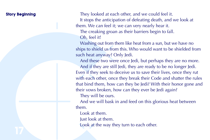**Story Beginning** They looked at each other, and we could feel it. It stops the anticipation of defeating death, and we look at them. We can feel it; we can very nearly hear it. The creaking groan as their barriers begin to fall. Oh, feel it!

> Washing out from them like heat from a sun, but we have no ships to shield us from this. Who would want to be shielded from such heat anyway? Only Jedi.

Story Beginning<br>
I They looked at a<br>
It stops the antic<br>
them. We can feel<br>
The creaking gre<br>
Oh, feel it!<br>
Washing out from<br>
Washing out from<br>
shown that anyway<br>
And these two v<br>
And if they are s<br>
Even if they seek t<br>
wi And these two were once Jedi, but perhaps they are no more. And if they are still Jedi, they are ready to be no longer Jedi. Even if they seek to deceive us to save their lives, once they rut with each other, once they break their Code and shatter the rules that bind them, how can they be Jedi? With their honor gone and their vows broken, how can they ever be Jedi again?

They will be ours.

And we will bask in and feed on this glorious heat between them.

Look at them.

Just look at them.

Look at the way they turn to each other.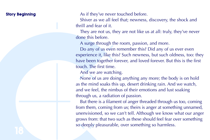**Story Beginning** As if they've never touched before.

Shiver as we all feel that; newness, discovery, the shock and thrill and fear of it.

They are not us, they are not like us at all: truly, they've never done this before.

A surge through the room, passion, and more.

Do any of us even remember this? Did any of us ever even experience it, like this? Such newness, but such oldness, too: they have been together forever, and loved forever. But this is the first touch. The first time.

And we are watching.

None of us are doing anything any more; the body is on hold as the mind soaks this up, desert drinking rain. And we watch, and we feel, the nimbus of their emotions and lust soaking through us, a radiation of passion.

**Story Beginning**<br>
As if they've new Shiver as we all<br>
thrill and fear of it<br>
They are not us,<br>
done this before.<br>
A surge through our seven<br>
Do any of us ev<br>
experience it, like<br>
have been togethe<br>
touch. The first time<br> But there is a filament of anger threaded through us too, coming from them, coming from us; theirs is anger at something unnamed, unenvisioned, so we can't tell. Although we know what our anger grows from: that two such as these should feel fear over something so deeply pleasurable, over something so harmless.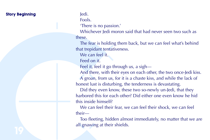# **Story Beginning Theory of Story Beginning** Story **Jedi.**

Fools.

'There is no passion.'

Whichever Jedi moron said that had never seen two such as these.

The fear is holding them back, but we can feel what's behind that trepidant tentativeness.

We can feel it.

Feed on it.

Feel it, feel it go through us, a sigh—

And there, with their eyes on each other, the two once-Jedi kiss. A groan, from us, for it is a chaste kiss, and while the lack of honest lust is disturbing, the tenderness is devastating.

Story Beginning<br>
Fools.<br>
There is no pas<br>
Whichever Jedi<br>
these.<br>
The fear is hold<br>
that trepidant tent<br>
that trepidant tent<br>
We can feel it.<br>
Feel on it.<br>
Feel it, feel it go<br>
And there, with<br>
A groan, from u<br>
honest lust Did they even know, these two so-newly un-Jedi, that they harbored this for each other? Did either one even know he hid this inside himself?

We can feel their fear, we can feel their shock, we can feel their—

Too fleeting, hidden almost immediately, no matter that we are all gnawing at their shields.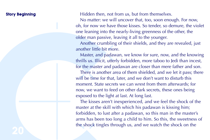**Story Beginning** Hidden then, not from us, but from themselves.

No matter: we will uncover that, too, soon enough. For now, oh, for now we have those kisses. So tender, so demure, the violet one leaning into the nearly-living greenness of the other, the older man passive, leaving it all to the younger.

Another crumbling of their shields, and they are revealed, just another little bit more.

Master, and padawan, we know for sure, now, and the knowing thrills us. Illicit, utterly forbidden, more taboo to Jedi than incest, for the master and padawan are closer than mere father and son.

There is another area of them shielded, and we let it pass; there will be time for that, later, and we don't want to disturb this moment. State secrets we can wrest from them afterwards; for now, we want to feed on other dark secrets, these ones being exposed to the light at last. At long last.

**Story Beginning**<br>
Hidden then, nc<br>
No matter: we v<br>
oh, for now we has<br>
one leaning into the<br>
onder rann passive<br>
Another crumble<br>
another liftle bit m<br>
Master, and padd<br>
thrills us. Illicit, ut<br>
for the master and<br>
There The kisses aren't inexperienced, and we feel the shock of the master at the skill with which his padawan is kissing him; forbidden, to lust after a padawan, so this man in the master's arms has been too long a child to him. So this, the sweetness of the shock tingles through us, and we watch the shock on the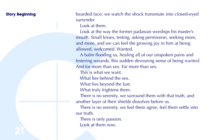**Story Beginning** bearded face; we watch the shock transmute into closed-eyed surrender.

Look at them.

Story Beginning<br>
bearded face; we<br>
surrender.<br>
Look at them.<br>
Look at them.<br>
Look at the way<br>
mouth. Small kisse<br>
and more, and we<br>
allowed, welcome<br>
A balm flooding<br>
festering wounds,<br>
And for more thar<br>
This is what the Look at the way the former padawan worships his master's mouth. Small kisses, testing, asking permission, seeking more, and more, and we can feel the growing joy in him at being allowed, welcomed. Wanted.

A balm flooding us, healing all of our unspoken pains and festering wounds, this sudden devouring sense of being *wanted.* And for more than sex. Far more than sex.

This is what we want.

What lies behind the sex.

What lies beyond the lust.

What truly frightens them.

There is no serenity, we surround them with that truth, and another layer of their shields dissolves before us.

There is no serenity, we feel them agree, feel them settle into our truth.

There is only passion. Look at them now.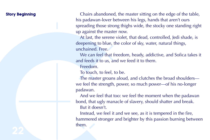Story Beginning<br>
In [C](#page-2-0)hairs abandon<br>
his padawan-lover<br>
spreading those st<br>
up against the max<br>
At last, the serer<br>
deepening to blue<br>
unchained. Free<br>
we can feel tha<br>
and feeds it to us,<br>
Freedom.<br>
To touch, to feel<br>
The **Story Beginning** Chairs abandoned, the master sitting on the edge of the table, his padawan-lover between his legs, hands that aren't ours spreading those strong thighs wide, the stocky one standing right up against the master now.

At last, the serene violet, that dead, controlled, Jedi shade, is deepening to blue, the color of sky, water, natural things, unchained. Free.

We can feel that freedom, heady, addictive, and Sofica takes it and feeds it to us, and we feed it to them.

Freedom.

To touch, to feel, to be.

The master groans aloud, and clutches the broad shoulders we feel the strength, power, so much power—of his no-longer padawan.

And we feel that too: we feel the moment when the padawan bond, that ugly manacle of slavery, should shatter and break. But it doesn't.

Instead, we feel it and we see, as it is tempered in the fire, hammered stronger and brighter by this passion burning between them.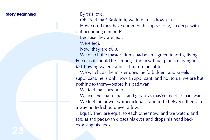# **Story Beginning** By this love.

Oh! Feel that! Bask in it, wallow in it, drown in it.

How could they have dammed this up so long, so deep, without becoming damned?

Because they are Jedi.

Were Jedi.

Now, they are ours.

We watch the master lift his padawan—green tendrils, living Force as it should be, amongst the new blue, plants moving in fast-flowing water—and sit him on the table.

We watch, as the master does the forbidden, and kneels supplicant, he is only now a supplicant, and not to us, we are but nothing to them—before his padawan.

We feel that surrender.

We feel the chains creak and groan, as master kneels to padawan. We feel the power whipcrack back and forth between them, in a way no Jedi should ever allow.

**Story Beginning**<br>
By this love.<br> [C](#page-2-0)h! Feel that! B<br>
How could they<br>
out becoming dan<br>
Because they are of<br>
Were ledi.<br>
Now, they are of<br>
We watch the m<br>
Force as it should<br>
fast-flowing water<br>
We watch, as the<br>
supplicant, Equal. They are equal to each other now, and we watch, and see, as the padawan closes his eyes and drops his head back, exposing his neck.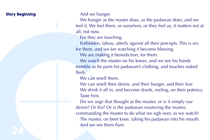**Story Beginning** And we hunger.

We hunger as the master does, as the padawan does, and we feel it. We feel them, or ourselves, or they feel us, it matters not at all, not now.

For they are touching.

Forbidden, taboo, utterly against all their precepts. This is sin, for them, and we are watching it become blessing.

We are making it benediction, for them.

We watch the master on his knees, and we see his hands tremble as he parts his padawan's clothing, and touches naked flesh.

We can smell them.

We can smell their desire, and their hunger, and their fear. We drink it all in, and become drunk, reeling, on their potency. Taste him.

Story Beginning<br>
We hunger as the feel it. We feel the<br>
all, not now.<br>
For they are tou<br>
for them, and we bused to the other than and we<br>
We watch the m<br>
tremble as he part<br>
flesh.<br>
We can smell the We can smell the We dri Do we urge that thought at the master, or is it simply our desire? Or his? Or is the padawan mastering the master, commanding the master to do what we sigh over, as we watch? The master, on bent knee, taking his padawan into his mouth. And we see them flare.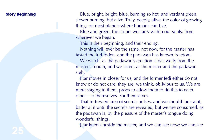**Story Beginning** Blue, bright, bright, blue, burning so hot, and verdant green, slower burning, but alive. Truly, deeply, alive, the color of growing things on most planets where humans can live.

> Blue and green, the colors we carry within our souls, from wherever we began.

This is their beginning, and their ending.

Nothing will ever be the same, not now, for the master has tasted the forbidden, and the padawan has known freedom.

We watch, as the padawan's erection slides wetly from the master's mouth, and we listen, as the master and the padawan sigh.

Jitar moves in closer for us, and the former Jedi either do not know or do not care; they are, we think, oblivious to us. We are mere staging to them, props to allow them to do this to each other—to themselves. For themselves.

Story Beginning<br>
Blue, bright, bri<br>
slower burning, but<br>
ings on most pla<br>
Blue and green,<br>
wherever we bega<br>
This is their beg<br>
Nothing will evident<br>
lexisted the forbidd<br>
We watch, as the<br>
master's mouth, at<br>
sigh.<br>
Jita That fortressed area of secrets pulses, and we should look at it, batter at it until the secrets are revealed, but we are consumed, as the padawan is, by the pleasure of the master's tongue doing wonderful things.

Jitar kneels beside the master, and we can see now; we can see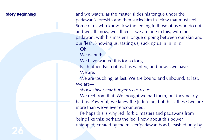Story Beginning<br>
and we watch, as<br>
padawan's foreskii<br>
Some of us who k<br>
and we all know,<br>
and we all know,<br>
padawan, with his<br>
our flesh, knowing<br>
Oh.<br>
We want this.<br>
We have wanted<br>
Each other. Each<br>
we are<br>
we are<br>
we a **Story Beginning** and we watch, as the master slides his tongue under the padawan's foreskin and then sucks him in. How that must feel! Some of us who know flow the feeling to those of us who do not, and we all know, we all feel—we are one in this, with the padawan, with his master's tongue dipping between our skin and our flesh, knowing us, tasting us, sucking us in in in in.

Oh.

We want this.

We have wanted this for so long.

Each other. Each of us, has wanted, and now…we have. We are.

We are touching, at last. We are bound and unbound, at last. We are—

*shock shiver fear hunger us us us us*

We reel from that. We thought we had them, but they nearly had us. Powerful, we knew the Jedi to be, but this…these two are more than we've ever encountered.

Perhaps this is why Jedi forbid masters and padawans from being like this: perhaps the Jedi know about this power, untapped, created by the master/padawan bond, leashed only by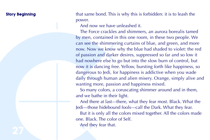**Story Beginning** that same bond. This is why this is forbidden: it is to leash the power.

And now we have unleashed it.

Story Beginning<br>
power.<br>
And now we have the simulated by men, containe<br>
can see the shimme convex by<br>
mow. Now we know the shimme of passion and da<br>
had nowhere else<br>
now it is dancing<br>
dangerous to Jedi,<br>
daily through h The Force crackles and shimmers, an aurora borealis tamed by men, contained in this one room, in these two people. We can see the shimmering curtains of blue, and green, and more now. Now we know why the blue had shaded to violet: the red of passion and darker desires, suppressed so far and so low it had nowhere else to go but into the slow burn of control, but now it is dancing free. Yellow, bursting forth like happiness, so dangerous to Jedi, for happiness is addictive when you wade daily through human and alien misery. Orange, simply alive and wanting more, passion and happiness mixed.

So many colors, a coruscating shimmer around and in them, and we bathe in their light.

And there at last—there, what they fear most. Black. What the Jedi—those hidebound fools—call the Dark. What they fear. But it is only all the colors mixed together. All the colors made one. Black. The color of Self. And they fear that.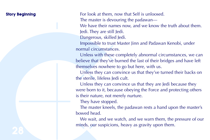Story Beginning<br>
Tor look at them<br>
The master is de<br>
We have their n<br>
Jedi. They are st<br>
Dangerous, skill<br>
Impossible to torum<br>
normal circumstar<br>
Unless with the<br>
believe that they'v<br>
themselves nowhe<br>
Unless they can<br>
th **Story Beginning** For look at them, now that Self is unloosed. The master is devouring the padawan— We have their names now, and we know the truth about them. Jedi. They are still Jedi. Dangerous, skilled Jedi.

Impossible to trust Master Jinn and Padawan Kenobi, under normal circumstances.

Unless with these completely abnormal circumstances, we can believe that they've burned the last of their bridges and have left themselves nowhere to go but here, with us.

Unless they can convince us that they've turned their backs on the sterile, lifeless Jedi cult.

Unless they can convince us that they are Jedi because they were born to it, because obeying the Force and protecting others is their nature, not merely nurture.

They have stopped.

The master kneels, the padawan rests a hand upon the master's bowed head.

We wait, and we watch, and we warn them, the pressure of our minds, our suspicions, heavy as gravity upon them.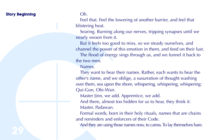# Story Beginning **Oh.**

Feel that. Feel the lowering of another barrier, and feel that blistering heat.

Searing. Burning along our nerves, tripping synapses until we nearly swoon from it.

But it feels too good to miss, so we steady ourselves, and channel the power of this emotion in them, and feed on their lust. The flood of energy sings through us, and we funnel it back to the two men.

Names.

Story Beginning<br> [C](#page-2-0)h.<br>
Feel that. Feel the blistering heat.<br>
Searing. Burning<br>
mearly swoon from<br>
But it feels too<br>
channel the power<br>
the flood of ene<br>
the two men.<br>
Names.<br>
They want to he<br>
other's name, and<br>
over them, s They want to hear their names. Rather, each wants to hear the other's name, and we oblige, a susurration of thought washing over them, sea upon the shore, whispering, whispering, whispering: Qui-Gon, Obi-Wan.

Master Jinn, we add. Apprentice, we add.

And there, almost too hidden for us to hear, they think it: Master. Padawan.

Formal words, born in their holy rituals, names that are chains and reminders and enforcers of their Code.

And they are using those names now, to caress. To lay themselves bare.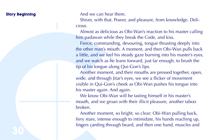**Story Beginning And we can hear them.** 

Shiver, with that. Power, and pleasure, from knowledge. Delicious.

Almost as delicious as Obi-Wan's reaction to his master calling him padawan while they break the Code, and kiss.

**Story Beginning**<br>
And we can heat<br>
Shiver, with that<br>
cious.<br>
Almost as delici<br>
him padawan whi<br>
free, commans<br>
the other man's m<br>
a little, and we feed<br>
and we watch as t<br>
tip of his tongue a<br>
Another momer<br>
wide, and th Fierce, commanding, devouring, tongue thrusting deeply into the other man's mouth. A moment, and then Obi-Wan pulls back a little, and we feel his steady gaze burning into his master's eyes, and we watch as he leans forward, just far enough, to brush the tip of his tongue along Qui-Gon's lips.

Another moment, and their mouths are pressed together, open, wide, and through Jitar's eyes, we see a flicker of movement visible in Qui-Gon's cheek as Obi-Wan pushes his tongue into his master again. And again.

We know Obi-Wan will be tasting himself in his master's mouth, and we groan with their illicit pleasure, another taboo broken.

Another moment, so bright, so clear; Obi-Wan pulling back, fiery stare, intense enough to intimidate, his hands reaching up, fingers carding through beard, and then one hand, muscles and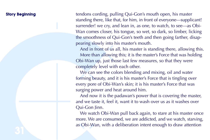Story Beginning<br>
tendons cording, h<br>
standing there, like<br>
surrender! we cry,<br>
Wan comes close<br>
the smoothness of<br>
pearing slowly int<br>
And in front of<br>
Obi-Wan up, just<br>
completely level v<br>
We can see the<br>
forming beauty, **Story Beginning** tendons cording, pulling Qui-Gon's mouth open, his master standing there, like that, for him, in front of everyone—supplicant! surrender! we cry, and lean in, as one, to watch, to see—as Obi-Wan comes closer, his tongue, so wet, so dark, so limber, licking the smoothness of Qui-Gon's teeth and then going farther, disappearing slowly into his master's mouth.

And in front of us all, his master is standing there, allowing this. More than allowing this; it is the master's Force that was holding Obi-Wan up, just those last few measures, so that they were completely level with each other.

We can see the colors blending and mixing, oil and water forming beauty, and it is his master's Force that is tingling over every pore of Obi-Wan's skin; it is his master's Force that was surging power and heat around him.

And now it is the padawan's power that is covering the master, and we taste it, feel it, want it to wash over us as it washes over Qui-Gon Jinn.

We watch Obi-Wan pull back again, to stare at his master once more. We are consumed, we are addicted, and we watch, starving, as Obi-Wan, with a deliberation intent enough to draw attention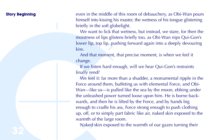**Story Beginning** even in the middle of this room of debauchery, as Obi-Wan pours himself into kissing his master, the wetness of his tongue glistening briefly in the soft globelight.

> We want to lick that wetness, but instead, we stare, for then the moistness of lips glistens briefly too, as Obi-Wan nips Qui-Gon's lower lip, top lip, pushing forward again into a deeply devouring kiss.

And that moment, that precise moment, is when we feel it change.

If we listen hard enough, will we hear Qui-Gon's restraints finally rend?

**Story Beginning**<br>
even in the middle<br>
himself into kissing<br>
briefly in the soft g<br>
We want to lick<br>
moistness of lips g<br>
lower lip, top lip,<br>
kiss.<br>
And that mome<br>
change.<br>
If we listen hard<br>
finally rend?<br>
We feel it: fa We feel it: far more than a shudder, a monumental ripple in the Force around them, buffeting us with elemental Force, and Obi-Wan—like us—is pulled like the sea by the moon, ebbing under the unleashed power turned loose upon him. He is borne backwards, and then he is lifted by the Force, and by hands big enough to cradle his ass, Force strong enough to push clothing up, off, or to simply part fabric like air, naked skin exposed to the warmth of the large room.

Naked skin exposed to the warmth of our gazes turning their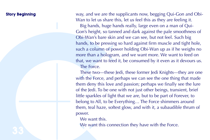**Story Beginning**<br>
way, and we are the Wan to let us share<br>
Big hands, huge<br>
Gon's height, so tto<br> [C](#page-2-0)bi-Wan's bare sk<br>
hands, to be press<br>
such a column of<br>
more than a hologophat, we want to for<br>
mere than a hologophat, we **Story Beginning** way, and we are the supplicants now, begging Qui-Gon and Obi-Wan to let us share this, let us feel this as they are feeling it. Big hands, huge hands really, large even on a man of Qui-Gon's height, so tanned and dark against the pale smoothness of Obi-Wan's bare skin and we can see, but not feel. Such big hands, to be pressing so hard against firm muscle and tight hole, such a column of power holding Obi-Wan up as if he weighs no more than a hologram, and we want more. We want to feed on that, we want to feed it, be consumed by it even as it devours us. The Force.

These two—these Jedi, these former Jedi Knights—they are one with the Force, and perhaps we can see the one thing that made them deny this love and passion; perhaps we finally see the lure of the Jedi. To be one with not just other beings, transient, brief little sparkles of light that we are, but to be part of Forever, to belong to All, to be Everything… The Force shimmers around them, teal haze, softest glow, and with it, a subaudible thrum of power.

We want this.

We want this connection they have with the Force.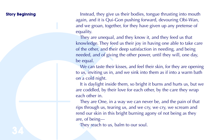**Story Beginning** Instead, they give us their bodies, tongue thrusting into mouth again, and it is Qui-Gon pushing forward, devouring Obi-Wan, and we groan, together, for they have given up any pretense of equality.

Story Beginning<br>
again, and it is Qu<br>
and we groan, tog<br>
equality.<br>
They are unequality.<br>
They are unequality.<br>
They are unequality.<br>
of the other, and the medeled, and of given<br>
be equal.<br>
We can taste the<br>
to us, invitin They are unequal, and they know it, and they feed us that knowledge. They feed us their joy in having one able to take care of the other, and their deep satisfaction in needing, and being needed, and of giving the other power, until they will, one day, be equal.

We can taste their kisses, and feel their skin, for they are opening to us, inviting us in, and we sink into them as if into a warm bath on a cold night.

It is daylight inside them, so bright it burns and hurts us, but we are coddled, by their love for each other, by the care they wrap each other in.

They are One, in a way we can never be, and the pain of that rips through us, tearing us, and we cry, we cry, we scream and rend our skin in this bright burning agony of not being as they are, of being—

They reach to us, balm to our soul.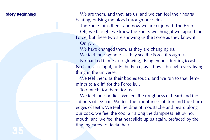**Story Beginning** We are them, and they are us, and we can feel their hearts beating, pulsing the blood through our veins.

> The Force joins them, and now we are enjoined. The Force— Oh, we thought we knew the Force, we thought we tapped the Force, but these two are showing us the Force as they know it. Only…

We have changed them, as they are changing us.

We feel their wonder, as they see the Force through us. No banked flames, no glowing, dying embers turning to ash.

No Dark, no Light, only the Force, as it flows through every living thing in the universe.

We feel them, as their bodies touch, and we run to that, lemmings to a cliff, for the Force is…

Too much, for them, for us.

**Story Beginning**<br>
We are them, an<br>
beating, pulsing the<br>
The Force joins<br> [C](#page-2-0)h, we thought<br>
Force, but these tv<br>
Only...<br>
We have change<br>
We feel their www.<br>
No Dark, no Light<br>
thing in the univer<br>
We feel them, a<br>
mings to We feel their bodies. We feel the roughness of beard and the softness of leg hair. We feel the smoothness of skin and the sharp edges of teeth. We feel the drag of moustache and beard along our cock, we feel the cool air along the dampness left by hot mouth, and we feel that heat slide up us again, prefaced by the tingling caress of facial hair.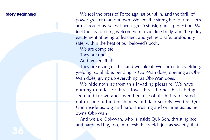**Story Beginning** We feel the press of Force against our skin, and the thrill of power greater than our own. We feel the strength of our master's arms around us, safest haven, greatest risk, purest perfection. We feel the joy of being welcomed into yielding body, and the giddy excitement of being unleashed, and yet held safe, profoundly safe, within the heat of our beloved's body.

We are complete.

They are one.

And we feel that.

They are giving us this, and we take it. We surrender, yielding, yielding, so pliable, bending as Obi-Wan does, opening as Obi-Wan does, giving up everything, as Obi-Wan does.

**Story Beginning**<br>
We feel the pres<br>
power greater that<br>
arms around us, saided the joy of beir<br>
excitement of beir<br>
safe, within the he<br>
We are complete<br>
They are one.<br>
And we feel tha<br>
They are one.<br>
And we feel tha<br>
The We hide nothing from this invading pleasure. We have nothing to hide, for this is love, this is home, this is being seen and known and loved because of all that is revealed, not in spite of hidden shames and dark secrets. We feel Qui-Gon inside us, big and hard, thrusting and owning us, as he owns Obi-Wan.

And we are Obi-Wan, who is inside Qui-Gon, thrusting hot and hard and big, too, into flesh that yields just as sweetly, that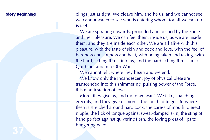**Story Beginning** clings just as tight. We cleave him, and he us, and we cannot see, we cannot watch to see who is entering whom, for all we can do is feel.

**Story Beginning**<br>
clings just as tight<br>
we cannot watch<br>
is feel.<br>
We are spiraling<br>
and their pleasure<br>
them, and they are<br>
pleasure, with the<br>
pleasure, with the<br>
hardness and soft<br>
cu-Gon, and int<br>
We cannot tell,<br>
We We are spiraling upwards, propelled and pushed by the Force and their pleasure. We can feel them, inside us, as we are inside them, and they are inside each other. We are all alive with this pleasure, with the taste of skin and cock and love, with the feel of hardness and softness and heat, with being taken and taking, with the hard, aching thrust into us, and the hard aching thrusts into Qui-Gon, and into Obi-Wan.

We cannot tell, where they begin and we end.

We know only the incandescent joy of physical pleasure transcended into this shimmering, pulsing power of the Force, this manifestation of love.

More, they give us, and more we want. We take, snatching greedily, and they give us more—the touch of fingers to where flesh is stretched around hard cock, the caress of mouth to erect nipple, the lick of tongue against sweat-damped skin, the sting of hand perfect against quivering flesh, the loving press of lips to hungering need.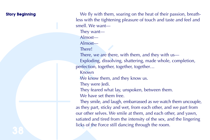Story Beginning<br>
less with the tight<br>
smell. We want—<br>
They want—<br>
Almost—<br>
Almost—<br>
Almost—<br>
There!<br>
There, we are the<br>
Exploding, discover<br>
From the small of the Known<br>
Mown<br>
We know them,<br>
They were Jedi.<br>
They teared w **Story Beginning** We fly with them, soaring on the heat of their passion, breathless with the tightening pleasure of touch and taste and feel and smell. We want— They want— Almost— Almost— There! There, we are there, with them, and they with us— Exploding, dissolving, shattering, made whole, completion, perfection, together, together, together… Known We know them, and they know us. They were Jedi. They feared what lay, unspoken, between them. We have set them free. They smile, and laugh, embarrassed as we watch them uncouple, as they part, sticky and wet, from each other, and we part from our other selves. We smile at them, and each other, and yawn, satiated and tired from the intensity of the sex, and the lingering licks of the Force still dancing through the room.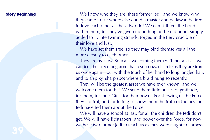Story Beginning<br>they came to us: w<br>to love each other<br>within them, for the<br>added to it, intertween lust their love and lust<br>the wall dust intertweent their love and the more closely to ex<br>They are us, now<br>can feel their re **Story Beginning** We know who they are, these former Jedi, and we know why they came to us: where else could a master and padawan be free to love each other as these two do? We can still feel the bond within them, for they've given up nothing of the old bond, simply added to it, intertwining strands, forged in the fiery crucible of their love and lust.

We have set them free, so they may bind themselves all the more closely to each other.

They are us, now. Sofica is welcoming them with not a kiss—we can feel their recoiling from that, even now, discrete as they are from us once again—but with the touch of her hand to long tangled hair, and to a spiky, sharp spot where a braid hung so recently.

They will be the greatest asset we have ever known, and we welcome them for that. We send them little pulses of gratitude, for them, for their Gifts, for their power. For showing us the Force they control, and for letting us show them the truth of the lies the Jedi have fed them about the Force.

We will have a school at last, for all the children the Jedi don't get. We will have lightsabers, and power over the Force, for now we have two former Jedi to teach us as they were taught to harness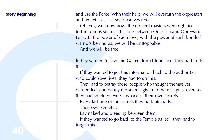**Story Beginning** and use the Force. With their help, we will overturn the oppressors, and we will, at last, set ourselves free.

Story Beginning<br>
and use the Force.<br>
and we will, at las<br>
Oh, yes, we know<br>
forbid unions such<br>
For with the power<br>
warriors behind us<br>
And we will be<br>
If they wanted to<br>
If they wanted to<br>
this.<br>
If they wanted to<br>
Define Oh, yes, we know now: the old Jedi masters were right to forbid unions such as this one between Qui-Gon and Obi-Wan. For with the power of such love, with the power of such bonded warriors behind us, we will be unstoppable.

And we will be free.

If they wanted to save the Galaxy from bloodshed, they had to do this.

If they wanted to get this information back to the authorities who could save lives, they had to do this.

They had to betray these people who thought themselves befriended, and betray the secrets given to them as gifts, even as they had shielded every last one of their own secrets.

Every last one of the secrets they had, officially.

Their own secrets…

Lay naked and bleeding between them.

If they wanted to go back to the Temple as Jedi, they had to forget this.